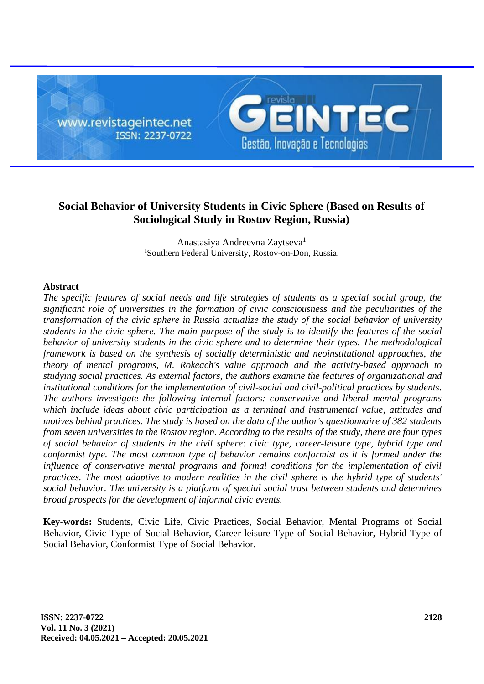www.revistageintec.net ISSN: 2237-0722



# **Social Behavior of University Students in Civic Sphere (Based on Results of Sociological Study in Rostov Region, Russia)**

Anastasiya Andreevna Zaytseva<sup>1</sup> <sup>1</sup>Southern Federal University, Rostov-on-Don, Russia.

## **Abstract**

*The specific features of social needs and life strategies of students as a special social group, the significant role of universities in the formation of civic consciousness and the peculiarities of the transformation of the civic sphere in Russia actualize the study of the social behavior of university students in the civic sphere. The main purpose of the study is to identify the features of the social behavior of university students in the civic sphere and to determine their types. The methodological framework is based on the synthesis of socially deterministic and neoinstitutional approaches, the theory of mental programs, M. Rokeach's value approach and the activity-based approach to studying social practices. As external factors, the authors examine the features of organizational and institutional conditions for the implementation of civil-social and civil-political practices by students. The authors investigate the following internal factors: conservative and liberal mental programs which include ideas about civic participation as a terminal and instrumental value, attitudes and motives behind practices. The study is based on the data of the author's questionnaire of 382 students from seven universities in the Rostov region. According to the results of the study, there are four types of social behavior of students in the civil sphere: civic type, career-leisure type, hybrid type and conformist type. The most common type of behavior remains conformist as it is formed under the influence of conservative mental programs and formal conditions for the implementation of civil practices. The most adaptive to modern realities in the civil sphere is the hybrid type of students' social behavior. The university is a platform of special social trust between students and determines broad prospects for the development of informal civic events.*

**Key-words:** Students, Civic Life, Civic Practices, Social Behavior, Mental Programs of Social Behavior, Civic Type of Social Behavior, Career-leisure Type of Social Behavior, Hybrid Type of Social Behavior, Conformist Type of Social Behavior.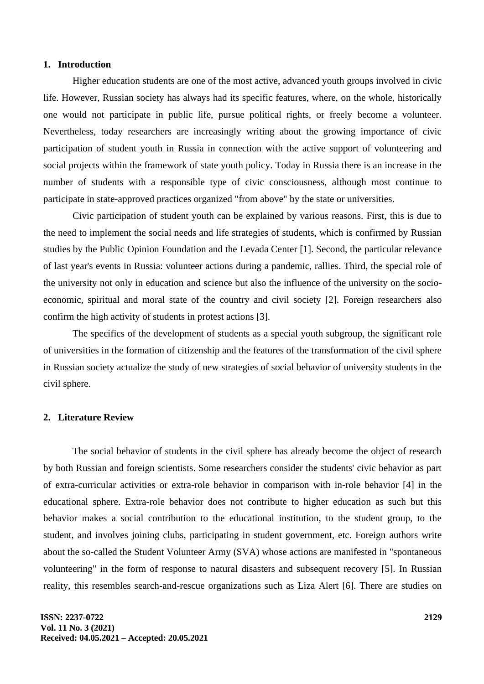#### **1. Introduction**

Higher education students are one of the most active, advanced youth groups involved in civic life. However, Russian society has always had its specific features, where, on the whole, historically one would not participate in public life, pursue political rights, or freely become a volunteer. Nevertheless, today researchers are increasingly writing about the growing importance of civic participation of student youth in Russia in connection with the active support of volunteering and social projects within the framework of state youth policy. Today in Russia there is an increase in the number of students with a responsible type of civic consciousness, although most continue to participate in state-approved practices organized "from above" by the state or universities.

Civic participation of student youth can be explained by various reasons. First, this is due to the need to implement the social needs and life strategies of students, which is confirmed by Russian studies by the Public Opinion Foundation and the Levada Center [1]. Second, the particular relevance of last year's events in Russia: volunteer actions during a pandemic, rallies. Third, the special role of the university not only in education and science but also the influence of the university on the socioeconomic, spiritual and moral state of the country and civil society [2]. Foreign researchers also confirm the high activity of students in protest actions [3].

The specifics of the development of students as a special youth subgroup, the significant role of universities in the formation of citizenship and the features of the transformation of the civil sphere in Russian society actualize the study of new strategies of social behavior of university students in the civil sphere.

#### **2. Literature Review**

The social behavior of students in the civil sphere has already become the object of research by both Russian and foreign scientists. Some researchers consider the students' civic behavior as part of extra-curricular activities or extra-role behavior in comparison with in-role behavior [4] in the educational sphere. Extra-role behavior does not contribute to higher education as such but this behavior makes a social contribution to the educational institution, to the student group, to the student, and involves joining clubs, participating in student government, etc. Foreign authors write about the so-called the Student Volunteer Army (SVA) whose actions are manifested in "spontaneous volunteering" in the form of response to natural disasters and subsequent recovery [5]. In Russian reality, this resembles search-and-rescue organizations such as Liza Alert [6]. There are studies on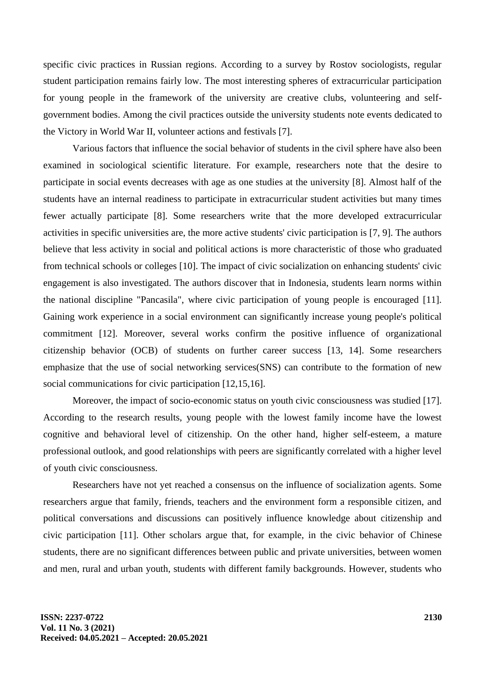specific civic practices in Russian regions. According to a survey by Rostov sociologists, regular student participation remains fairly low. The most interesting spheres of extracurricular participation for young people in the framework of the university are creative clubs, volunteering and selfgovernment bodies. Among the civil practices outside the university students note events dedicated to the Victory in World War II, volunteer actions and festivals [7].

Various factors that influence the social behavior of students in the civil sphere have also been examined in sociological scientific literature. For example, researchers note that the desire to participate in social events decreases with age as one studies at the university [8]. Almost half of the students have an internal readiness to participate in extracurricular student activities but many times fewer actually participate [8]. Some researchers write that the more developed extracurricular activities in specific universities are, the more active students' civic participation is [7, 9]. The authors believe that less activity in social and political actions is more characteristic of those who graduated from technical schools or colleges [10]. The impact of civic socialization on enhancing students' civic engagement is also investigated. The authors discover that in Indonesia, students learn norms within the national discipline "Pancasila", where civic participation of young people is encouraged [11]. Gaining work experience in a social environment can significantly increase young people's political commitment [12]. Moreover, several works confirm the positive influence of organizational citizenship behavior (OCB) of students on further career success [13, 14]. Some researchers emphasize that the use of social networking services(SNS) can contribute to the formation of new social communications for civic participation [12,15,16].

Moreover, the impact of socio-economic status on youth civic consciousness was studied [17]. According to the research results, young people with the lowest family income have the lowest cognitive and behavioral level of citizenship. On the other hand, higher self-esteem, a mature professional outlook, and good relationships with peers are significantly correlated with a higher level of youth civic consciousness.

Researchers have not yet reached a consensus on the influence of socialization agents. Some researchers argue that family, friends, teachers and the environment form a responsible citizen, and political conversations and discussions can positively influence knowledge about citizenship and civic participation [11]. Other scholars argue that, for example, in the civic behavior of Chinese students, there are no significant differences between public and private universities, between women and men, rural and urban youth, students with different family backgrounds. However, students who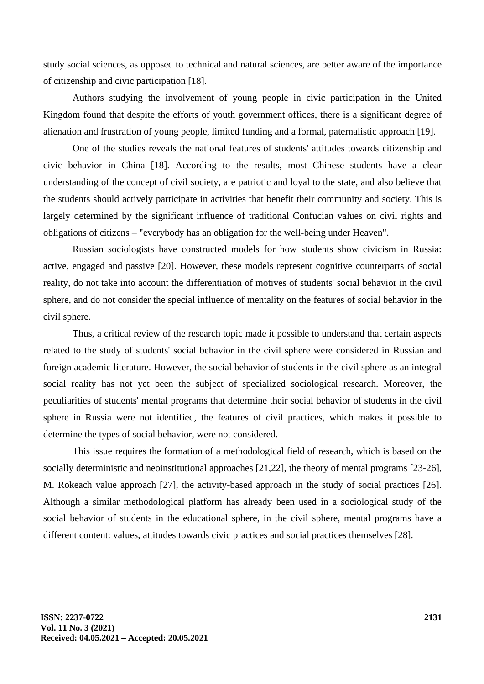study social sciences, as opposed to technical and natural sciences, are better aware of the importance of citizenship and civic participation [18].

Authors studying the involvement of young people in civic participation in the United Kingdom found that despite the efforts of youth government offices, there is a significant degree of alienation and frustration of young people, limited funding and a formal, paternalistic approach [19].

One of the studies reveals the national features of students' attitudes towards citizenship and civic behavior in China [18]. According to the results, most Chinese students have a clear understanding of the concept of civil society, are patriotic and loyal to the state, and also believe that the students should actively participate in activities that benefit their community and society. This is largely determined by the significant influence of traditional Confucian values on civil rights and obligations of citizens – "everybody has an obligation for the well-being under Heaven".

Russian sociologists have constructed models for how students show civicism in Russia: active, engaged and passive [20]. However, these models represent cognitive counterparts of social reality, do not take into account the differentiation of motives of students' social behavior in the civil sphere, and do not consider the special influence of mentality on the features of social behavior in the civil sphere.

Thus, a critical review of the research topic made it possible to understand that certain aspects related to the study of students' social behavior in the civil sphere were considered in Russian and foreign academic literature. However, the social behavior of students in the civil sphere as an integral social reality has not yet been the subject of specialized sociological research. Moreover, the peculiarities of students' mental programs that determine their social behavior of students in the civil sphere in Russia were not identified, the features of civil practices, which makes it possible to determine the types of social behavior, were not considered.

This issue requires the formation of a methodological field of research, which is based on the socially deterministic and neoinstitutional approaches [21,22], the theory of mental programs [23-26], M. Rokeach value approach [27], the activity-based approach in the study of social practices [26]. Although a similar methodological platform has already been used in a sociological study of the social behavior of students in the educational sphere, in the civil sphere, mental programs have a different content: values, attitudes towards civic practices and social practices themselves [28].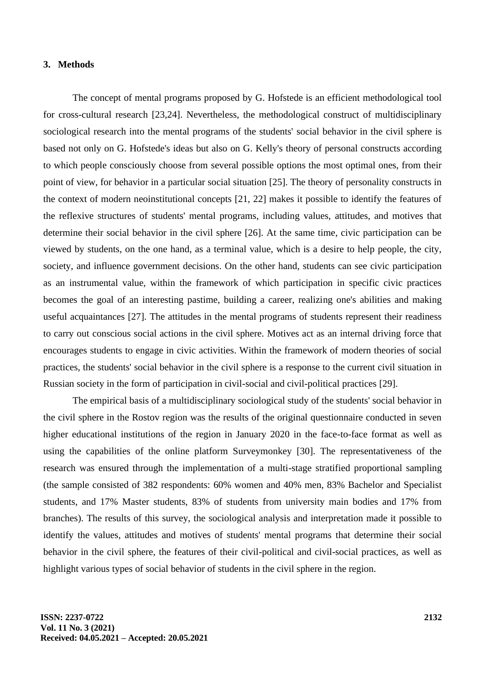#### **3. Methods**

The concept of mental programs proposed by G. Hofstede is an efficient methodological tool for cross-cultural research [23,24]. Nevertheless, the methodological construct of multidisciplinary sociological research into the mental programs of the students' social behavior in the civil sphere is based not only on G. Hofstede's ideas but also on G. Kelly's theory of personal constructs according to which people consciously choose from several possible options the most optimal ones, from their point of view, for behavior in a particular social situation [25]. The theory of personality constructs in the context of modern neoinstitutional concepts [21, 22] makes it possible to identify the features of the reflexive structures of students' mental programs, including values, attitudes, and motives that determine their social behavior in the civil sphere [26]. At the same time, civic participation can be viewed by students, on the one hand, as a terminal value, which is a desire to help people, the city, society, and influence government decisions. On the other hand, students can see civic participation as an instrumental value, within the framework of which participation in specific civic practices becomes the goal of an interesting pastime, building a career, realizing one's abilities and making useful acquaintances [27]. The attitudes in the mental programs of students represent their readiness to carry out conscious social actions in the civil sphere. Motives act as an internal driving force that encourages students to engage in civic activities. Within the framework of modern theories of social practices, the students' social behavior in the civil sphere is a response to the current civil situation in Russian society in the form of participation in civil-social and civil-political practices [29].

The empirical basis of a multidisciplinary sociological study of the students' social behavior in the civil sphere in the Rostov region was the results of the original questionnaire conducted in seven higher educational institutions of the region in January 2020 in the face-to-face format as well as using the capabilities of the online platform Surveymonkey [30]. The representativeness of the research was ensured through the implementation of a multi-stage stratified proportional sampling (the sample consisted of 382 respondents: 60% women and 40% men, 83% Bachelor and Specialist students, and 17% Master students, 83% of students from university main bodies and 17% from branches). The results of this survey, the sociological analysis and interpretation made it possible to identify the values, attitudes and motives of students' mental programs that determine their social behavior in the civil sphere, the features of their civil-political and civil-social practices, as well as highlight various types of social behavior of students in the civil sphere in the region.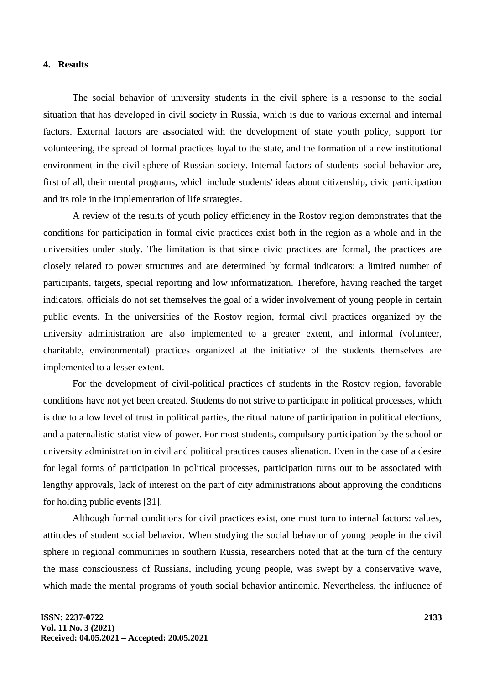#### **4. Results**

The social behavior of university students in the civil sphere is a response to the social situation that has developed in civil society in Russia, which is due to various external and internal factors. External factors are associated with the development of state youth policy, support for volunteering, the spread of formal practices loyal to the state, and the formation of a new institutional environment in the civil sphere of Russian society. Internal factors of students' social behavior are, first of all, their mental programs, which include students' ideas about citizenship, civic participation and its role in the implementation of life strategies.

A review of the results of youth policy efficiency in the Rostov region demonstrates that the conditions for participation in formal civic practices exist both in the region as a whole and in the universities under study. The limitation is that since civic practices are formal, the practices are closely related to power structures and are determined by formal indicators: a limited number of participants, targets, special reporting and low informatization. Therefore, having reached the target indicators, officials do not set themselves the goal of a wider involvement of young people in certain public events. In the universities of the Rostov region, formal civil practices organized by the university administration are also implemented to a greater extent, and informal (volunteer, charitable, environmental) practices organized at the initiative of the students themselves are implemented to a lesser extent.

For the development of civil-political practices of students in the Rostov region, favorable conditions have not yet been created. Students do not strive to participate in political processes, which is due to a low level of trust in political parties, the ritual nature of participation in political elections, and a paternalistic-statist view of power. For most students, compulsory participation by the school or university administration in civil and political practices causes alienation. Even in the case of a desire for legal forms of participation in political processes, participation turns out to be associated with lengthy approvals, lack of interest on the part of city administrations about approving the conditions for holding public events [31].

Although formal conditions for civil practices exist, one must turn to internal factors: values, attitudes of student social behavior. When studying the social behavior of young people in the civil sphere in regional communities in southern Russia, researchers noted that at the turn of the century the mass consciousness of Russians, including young people, was swept by a conservative wave, which made the mental programs of youth social behavior antinomic. Nevertheless, the influence of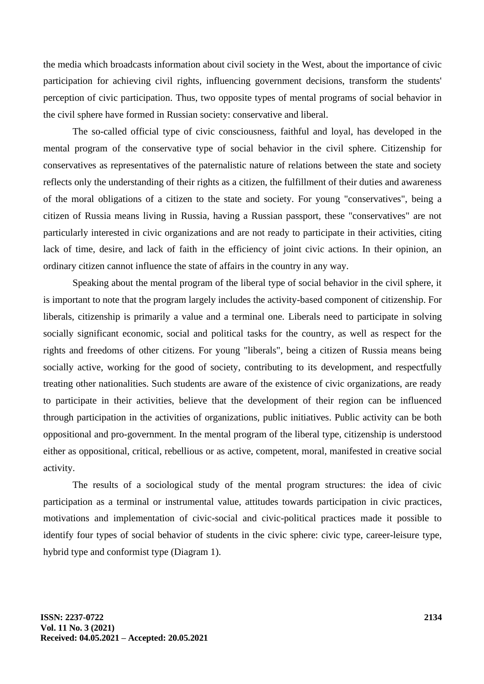the media which broadcasts information about civil society in the West, about the importance of civic participation for achieving civil rights, influencing government decisions, transform the students' perception of civic participation. Thus, two opposite types of mental programs of social behavior in the civil sphere have formed in Russian society: conservative and liberal.

The so-called official type of civic consciousness, faithful and loyal, has developed in the mental program of the conservative type of social behavior in the civil sphere. Citizenship for conservatives as representatives of the paternalistic nature of relations between the state and society reflects only the understanding of their rights as a citizen, the fulfillment of their duties and awareness of the moral obligations of a citizen to the state and society. For young "conservatives", being a citizen of Russia means living in Russia, having a Russian passport, these "conservatives" are not particularly interested in civic organizations and are not ready to participate in their activities, citing lack of time, desire, and lack of faith in the efficiency of joint civic actions. In their opinion, an ordinary citizen cannot influence the state of affairs in the country in any way.

Speaking about the mental program of the liberal type of social behavior in the civil sphere, it is important to note that the program largely includes the activity-based component of citizenship. For liberals, citizenship is primarily a value and a terminal one. Liberals need to participate in solving socially significant economic, social and political tasks for the country, as well as respect for the rights and freedoms of other citizens. For young "liberals", being a citizen of Russia means being socially active, working for the good of society, contributing to its development, and respectfully treating other nationalities. Such students are aware of the existence of civic organizations, are ready to participate in their activities, believe that the development of their region can be influenced through participation in the activities of organizations, public initiatives. Public activity can be both oppositional and pro-government. In the mental program of the liberal type, citizenship is understood either as oppositional, critical, rebellious or as active, competent, moral, manifested in creative social activity.

The results of a sociological study of the mental program structures: the idea of civic participation as a terminal or instrumental value, attitudes towards participation in civic practices, motivations and implementation of civic-social and civic-political practices made it possible to identify four types of social behavior of students in the civic sphere: civic type, career-leisure type, hybrid type and conformist type (Diagram 1).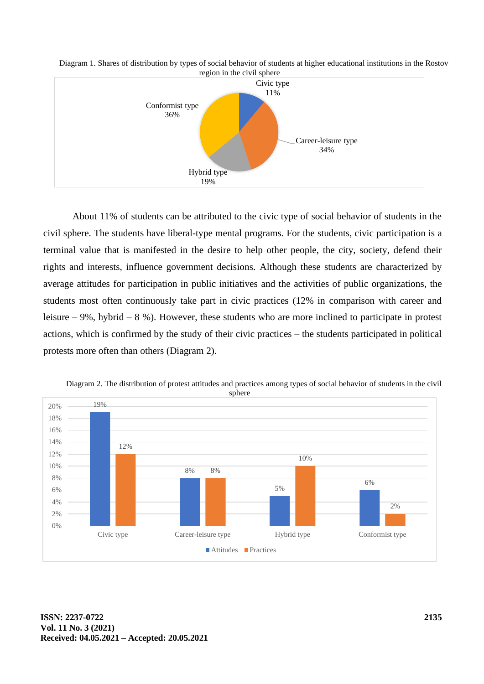

Diagram 1. Shares of distribution by types of social behavior of students at higher educational institutions in the Rostov region in the civil sphere

About 11% of students can be attributed to the civic type of social behavior of students in the civil sphere. The students have liberal-type mental programs. For the students, civic participation is a terminal value that is manifested in the desire to help other people, the city, society, defend their rights and interests, influence government decisions. Although these students are characterized by average attitudes for participation in public initiatives and the activities of public organizations, the students most often continuously take part in civic practices (12% in comparison with career and leisure – 9%, hybrid – 8 %). However, these students who are more inclined to participate in protest actions, which is confirmed by the study of their civic practices – the students participated in political protests more often than others (Diagram 2).



Diagram 2. The distribution of protest attitudes and practices among types of social behavior of students in the civil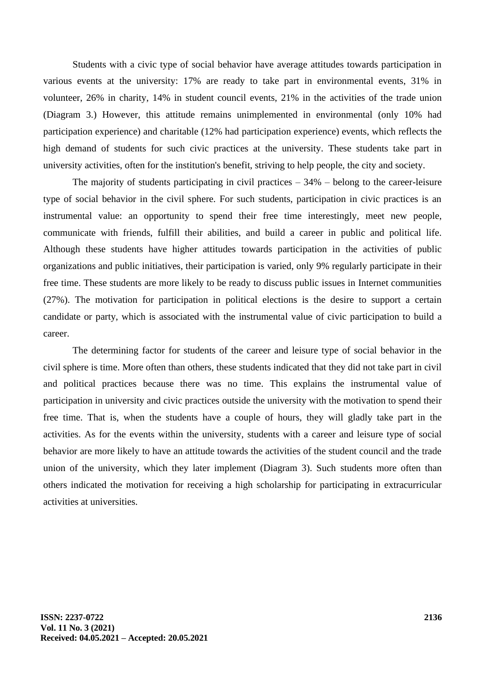Students with a civic type of social behavior have average attitudes towards participation in various events at the university: 17% are ready to take part in environmental events, 31% in volunteer, 26% in charity, 14% in student council events, 21% in the activities of the trade union (Diagram 3.) However, this attitude remains unimplemented in environmental (only 10% had participation experience) and charitable (12% had participation experience) events, which reflects the high demand of students for such civic practices at the university. These students take part in university activities, often for the institution's benefit, striving to help people, the city and society.

The majority of students participating in civil practices  $-34%$  – belong to the career-leisure type of social behavior in the civil sphere. For such students, participation in civic practices is an instrumental value: an opportunity to spend their free time interestingly, meet new people, communicate with friends, fulfill their abilities, and build a career in public and political life. Although these students have higher attitudes towards participation in the activities of public organizations and public initiatives, their participation is varied, only 9% regularly participate in their free time. These students are more likely to be ready to discuss public issues in Internet communities (27%). The motivation for participation in political elections is the desire to support a certain candidate or party, which is associated with the instrumental value of civic participation to build a career.

The determining factor for students of the career and leisure type of social behavior in the civil sphere is time. More often than others, these students indicated that they did not take part in civil and political practices because there was no time. This explains the instrumental value of participation in university and civic practices outside the university with the motivation to spend their free time. That is, when the students have a couple of hours, they will gladly take part in the activities. As for the events within the university, students with a career and leisure type of social behavior are more likely to have an attitude towards the activities of the student council and the trade union of the university, which they later implement (Diagram 3). Such students more often than others indicated the motivation for receiving a high scholarship for participating in extracurricular activities at universities.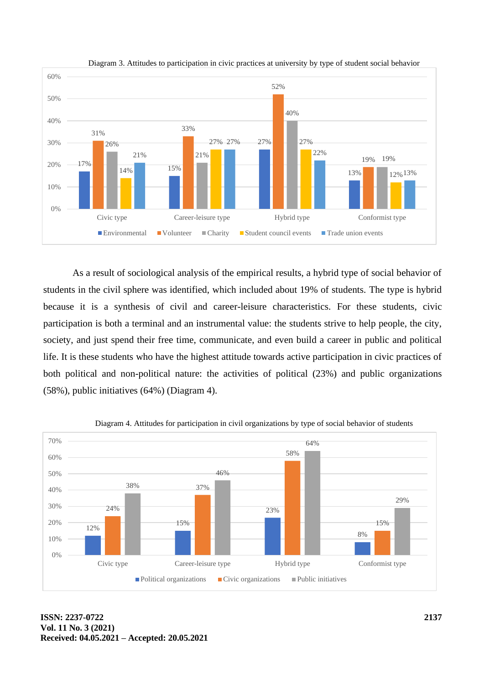

Diagram 3. Attitudes to participation in civic practices at university by type of student social behavior

As a result of sociological analysis of the empirical results, a hybrid type of social behavior of students in the civil sphere was identified, which included about 19% of students. The type is hybrid because it is a synthesis of civil and career-leisure characteristics. For these students, civic participation is both a terminal and an instrumental value: the students strive to help people, the city, society, and just spend their free time, communicate, and even build a career in public and political life. It is these students who have the highest attitude towards active participation in civic practices of both political and non-political nature: the activities of political (23%) and public organizations (58%), public initiatives (64%) (Diagram 4).



Diagram 4. Attitudes for participation in civil organizations by type of social behavior of students

**ISSN: 2237-0722 Vol. 11 No. 3 (2021) Received: 04.05.2021 – Accepted: 20.05.2021**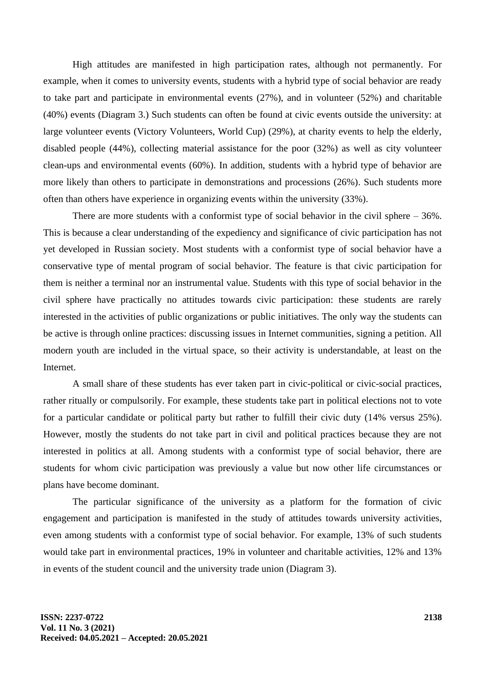High attitudes are manifested in high participation rates, although not permanently. For example, when it comes to university events, students with a hybrid type of social behavior are ready to take part and participate in environmental events (27%), and in volunteer (52%) and charitable (40%) events (Diagram 3.) Such students can often be found at civic events outside the university: at large volunteer events (Victory Volunteers, World Cup) (29%), at charity events to help the elderly, disabled people (44%), collecting material assistance for the poor (32%) as well as city volunteer clean-ups and environmental events (60%). In addition, students with a hybrid type of behavior are more likely than others to participate in demonstrations and processions (26%). Such students more often than others have experience in organizing events within the university (33%).

There are more students with a conformist type of social behavior in the civil sphere – 36%. This is because a clear understanding of the expediency and significance of civic participation has not yet developed in Russian society. Most students with a conformist type of social behavior have a conservative type of mental program of social behavior. The feature is that civic participation for them is neither a terminal nor an instrumental value. Students with this type of social behavior in the civil sphere have practically no attitudes towards civic participation: these students are rarely interested in the activities of public organizations or public initiatives. The only way the students can be active is through online practices: discussing issues in Internet communities, signing a petition. All modern youth are included in the virtual space, so their activity is understandable, at least on the Internet.

A small share of these students has ever taken part in civic-political or civic-social practices, rather ritually or compulsorily. For example, these students take part in political elections not to vote for a particular candidate or political party but rather to fulfill their civic duty (14% versus 25%). However, mostly the students do not take part in civil and political practices because they are not interested in politics at all. Among students with a conformist type of social behavior, there are students for whom civic participation was previously a value but now other life circumstances or plans have become dominant.

The particular significance of the university as a platform for the formation of civic engagement and participation is manifested in the study of attitudes towards university activities, even among students with a conformist type of social behavior. For example, 13% of such students would take part in environmental practices, 19% in volunteer and charitable activities, 12% and 13% in events of the student council and the university trade union (Diagram 3).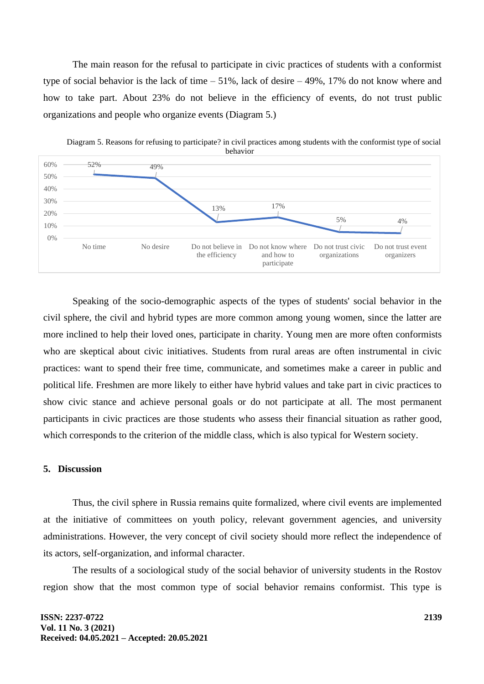The main reason for the refusal to participate in civic practices of students with a conformist type of social behavior is the lack of time – 51%, lack of desire – 49%, 17% do not know where and how to take part. About 23% do not believe in the efficiency of events, do not trust public organizations and people who organize events (Diagram 5.)



Diagram 5. Reasons for refusing to participate? in civil practices among students with the conformist type of social behavior

Speaking of the socio-demographic aspects of the types of students' social behavior in the civil sphere, the civil and hybrid types are more common among young women, since the latter are more inclined to help their loved ones, participate in charity. Young men are more often conformists who are skeptical about civic initiatives. Students from rural areas are often instrumental in civic practices: want to spend their free time, communicate, and sometimes make a career in public and political life. Freshmen are more likely to either have hybrid values and take part in civic practices to show civic stance and achieve personal goals or do not participate at all. The most permanent participants in civic practices are those students who assess their financial situation as rather good, which corresponds to the criterion of the middle class, which is also typical for Western society.

## **5. Discussion**

Thus, the civil sphere in Russia remains quite formalized, where civil events are implemented at the initiative of committees on youth policy, relevant government agencies, and university administrations. However, the very concept of civil society should more reflect the independence of its actors, self-organization, and informal character.

The results of a sociological study of the social behavior of university students in the Rostov region show that the most common type of social behavior remains conformist. This type is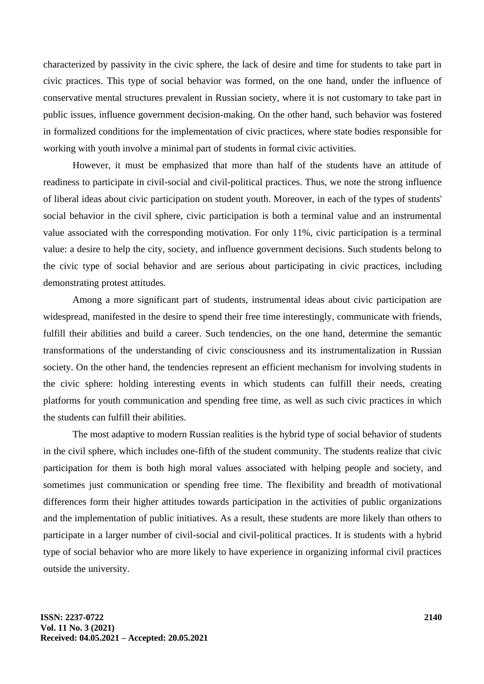characterized by passivity in the civic sphere, the lack of desire and time for students to take part in civic practices. This type of social behavior was formed, on the one hand, under the influence of conservative mental structures prevalent in Russian society, where it is not customary to take part in public issues, influence government decision-making. On the other hand, such behavior was fostered in formalized conditions for the implementation of civic practices, where state bodies responsible for working with youth involve a minimal part of students in formal civic activities.

However, it must be emphasized that more than half of the students have an attitude of readiness to participate in civil-social and civil-political practices. Thus, we note the strong influence of liberal ideas about civic participation on student youth. Moreover, in each of the types of students' social behavior in the civil sphere, civic participation is both a terminal value and an instrumental value associated with the corresponding motivation. For only 11%, civic participation is a terminal value: a desire to help the city, society, and influence government decisions. Such students belong to the civic type of social behavior and are serious about participating in civic practices, including demonstrating protest attitudes.

Among a more significant part of students, instrumental ideas about civic participation are widespread, manifested in the desire to spend their free time interestingly, communicate with friends, fulfill their abilities and build a career. Such tendencies, on the one hand, determine the semantic transformations of the understanding of civic consciousness and its instrumentalization in Russian society. On the other hand, the tendencies represent an efficient mechanism for involving students in the civic sphere: holding interesting events in which students can fulfill their needs, creating platforms for youth communication and spending free time, as well as such civic practices in which the students can fulfill their abilities.

The most adaptive to modern Russian realities is the hybrid type of social behavior of students in the civil sphere, which includes one-fifth of the student community. The students realize that civic participation for them is both high moral values associated with helping people and society, and sometimes just communication or spending free time. The flexibility and breadth of motivational differences form their higher attitudes towards participation in the activities of public organizations and the implementation of public initiatives. As a result, these students are more likely than others to participate in a larger number of civil-social and civil-political practices. It is students with a hybrid type of social behavior who are more likely to have experience in organizing informal civil practices outside the university.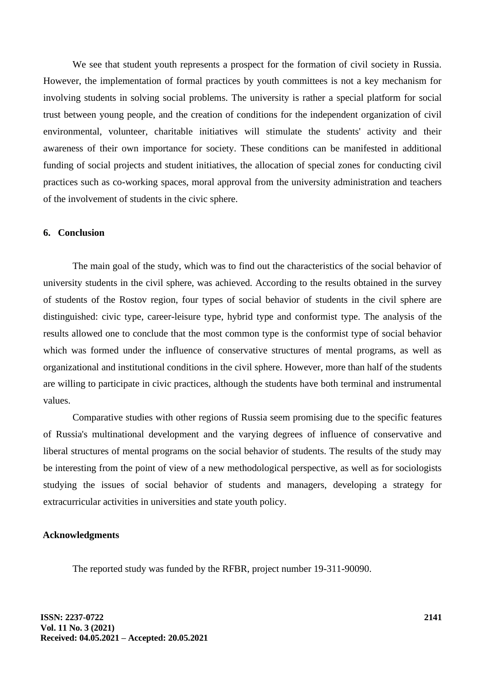We see that student youth represents a prospect for the formation of civil society in Russia. However, the implementation of formal practices by youth committees is not a key mechanism for involving students in solving social problems. The university is rather a special platform for social trust between young people, and the creation of conditions for the independent organization of civil environmental, volunteer, charitable initiatives will stimulate the students' activity and their awareness of their own importance for society. These conditions can be manifested in additional funding of social projects and student initiatives, the allocation of special zones for conducting civil practices such as co-working spaces, moral approval from the university administration and teachers of the involvement of students in the civic sphere.

#### **6. Conclusion**

The main goal of the study, which was to find out the characteristics of the social behavior of university students in the civil sphere, was achieved. According to the results obtained in the survey of students of the Rostov region, four types of social behavior of students in the civil sphere are distinguished: civic type, career-leisure type, hybrid type and conformist type. The analysis of the results allowed one to conclude that the most common type is the conformist type of social behavior which was formed under the influence of conservative structures of mental programs, as well as organizational and institutional conditions in the civil sphere. However, more than half of the students are willing to participate in civic practices, although the students have both terminal and instrumental values.

Comparative studies with other regions of Russia seem promising due to the specific features of Russia's multinational development and the varying degrees of influence of conservative and liberal structures of mental programs on the social behavior of students. The results of the study may be interesting from the point of view of a new methodological perspective, as well as for sociologists studying the issues of social behavior of students and managers, developing a strategy for extracurricular activities in universities and state youth policy.

#### **Acknowledgments**

The reported study was funded by the RFBR, project number 19-311-90090.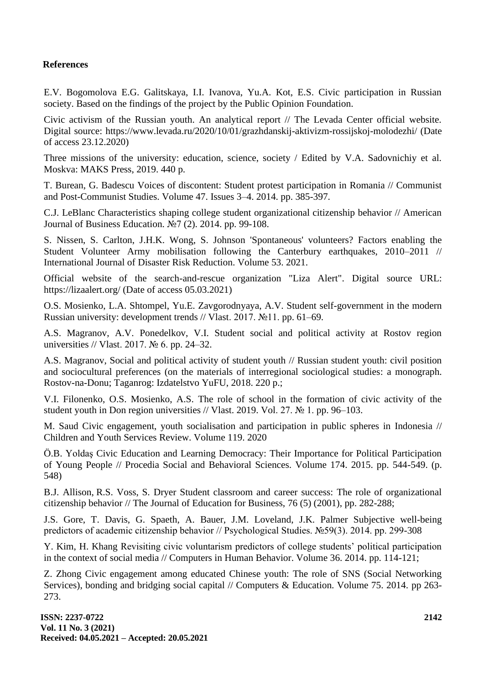# **References**

E.V. Bogomolova E.G. Galitskaya, I.I. Ivanova, Yu.A. Kot, E.S. Civic participation in Russian society. Based on the findings of the project by the Public Opinion Foundation.

Civic activism of the Russian youth. An analytical report // The Levada Center official website. Digital source: https://www.levada.ru/2020/10/01/grazhdanskij-aktivizm-rossijskoj-molodezhi/ (Date of access 23.12.2020)

Three missions of the university: education, science, society / Edited by V.A. Sadovnichiy et al. Moskva: MAKS Press, 2019. 440 p.

T. Burean, G. Badescu Voices of discontent: Student protest participation in Romania // Communist and Post-Communist Studies. Volume 47. Issues 3–4. 2014. pp. 385-397.

C.J. LeBlanc Characteristics shaping college student organizational citizenship behavior // American Journal of Business Education. №7 (2). 2014. pp. 99-108.

S. Nissen, S. Carlton, J.H.K. Wong, S. Johnson 'Spontaneous' volunteers? Factors enabling the Student Volunteer Army mobilisation following the Canterbury earthquakes, 2010–2011 // International Journal of Disaster Risk Reduction. Volume 53. 2021.

Official website of the search-and-rescue organization "Liza Alert". Digital source URL: https://lizaalert.org/ (Date of access 05.03.2021)

O.S. Mosienko, L.A. Shtompel, Yu.E. Zavgorodnyaya, A.V. Student self-government in the modern Russian university: development trends // Vlast. 2017. №11. pp. 61–69.

A.S. Magranov, A.V. Ponedelkov, V.I. Student social and political activity at Rostov region universities // Vlast. 2017. № 6. pp. 24–32.

A.S. Magranov, Social and political activity of student youth // Russian student youth: civil position and sociocultural preferences (on the materials of interregional sociological studies: a monograph. Rostov-na-Donu; Taganrog: Izdatelstvo YuFU, 2018. 220 p.;

V.I. Filonenko, O.S. Mosienko, A.S. The role of school in the formation of civic activity of the student youth in Don region universities // Vlast. 2019. Vol. 27. № 1. pp. 96–103.

M. Saud Civic engagement, youth socialisation and participation in public spheres in Indonesia // Children and Youth Services Review. Volume 119. 2020

Ö.B. Yoldaş Civic Education and Learning Democracy: Their Importance for Political Participation of Young People // Procedia Social and Behavioral Sciences. Volume 174. 2015. pp. 544-549. (p. 548)

B.J. Allison, R.S. Voss, S. Dryer Student classroom and career success: The role of organizational citizenship behavior // The Journal of Education for Business, 76 (5) (2001), pp. 282-288;

J.S. Gore, T. Davis, G. Spaeth, A. Bauer, J.M. Loveland, J.K. Palmer Subjective well-being predictors of academic citizenship behavior // Psychological Studies. №59(3). 2014. pp. 299-308

Y. Kim, H. Khang Revisiting civic voluntarism predictors of college students' political participation in the context of social media // Computers in Human Behavior. Volume 36. 2014. pp. 114-121;

Z. Zhong Civic engagement among educated Chinese youth: The role of SNS (Social Networking Services), bonding and bridging social capital // Computers & Education. Volume 75. 2014. pp 263- 273.